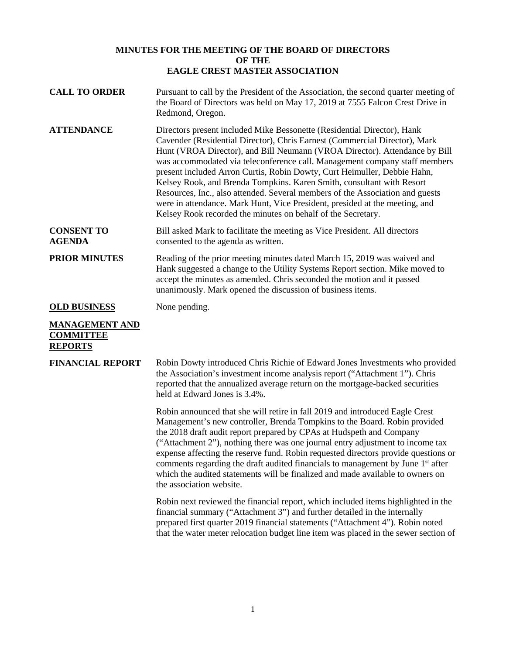# **MINUTES FOR THE MEETING OF THE BOARD OF DIRECTORS OF THE EAGLE CREST MASTER ASSOCIATION**

| <b>CALL TO ORDER</b>                                        | Pursuant to call by the President of the Association, the second quarter meeting of<br>the Board of Directors was held on May 17, 2019 at 7555 Falcon Crest Drive in<br>Redmond, Oregon.                                                                                                                                                                                                                                                                                                                                                                                                                                                                                                               |
|-------------------------------------------------------------|--------------------------------------------------------------------------------------------------------------------------------------------------------------------------------------------------------------------------------------------------------------------------------------------------------------------------------------------------------------------------------------------------------------------------------------------------------------------------------------------------------------------------------------------------------------------------------------------------------------------------------------------------------------------------------------------------------|
| <b>ATTENDANCE</b>                                           | Directors present included Mike Bessonette (Residential Director), Hank<br>Cavender (Residential Director), Chris Earnest (Commercial Director), Mark<br>Hunt (VROA Director), and Bill Neumann (VROA Director). Attendance by Bill<br>was accommodated via teleconference call. Management company staff members<br>present included Arron Curtis, Robin Dowty, Curt Heimuller, Debbie Hahn,<br>Kelsey Rook, and Brenda Tompkins. Karen Smith, consultant with Resort<br>Resources, Inc., also attended. Several members of the Association and guests<br>were in attendance. Mark Hunt, Vice President, presided at the meeting, and<br>Kelsey Rook recorded the minutes on behalf of the Secretary. |
| <b>CONSENT TO</b><br><b>AGENDA</b>                          | Bill asked Mark to facilitate the meeting as Vice President. All directors<br>consented to the agenda as written.                                                                                                                                                                                                                                                                                                                                                                                                                                                                                                                                                                                      |
| <b>PRIOR MINUTES</b>                                        | Reading of the prior meeting minutes dated March 15, 2019 was waived and<br>Hank suggested a change to the Utility Systems Report section. Mike moved to<br>accept the minutes as amended. Chris seconded the motion and it passed<br>unanimously. Mark opened the discussion of business items.                                                                                                                                                                                                                                                                                                                                                                                                       |
| <b>OLD BUSINESS</b>                                         | None pending.                                                                                                                                                                                                                                                                                                                                                                                                                                                                                                                                                                                                                                                                                          |
| <b>MANAGEMENT AND</b><br><b>COMMITTEE</b><br><b>REPORTS</b> |                                                                                                                                                                                                                                                                                                                                                                                                                                                                                                                                                                                                                                                                                                        |
| <b>FINANCIAL REPORT</b>                                     | Robin Dowty introduced Chris Richie of Edward Jones Investments who provided<br>the Association's investment income analysis report ("Attachment 1"). Chris<br>reported that the annualized average return on the mortgage-backed securities<br>held at Edward Jones is 3.4%.                                                                                                                                                                                                                                                                                                                                                                                                                          |
|                                                             | Robin announced that she will retire in fall 2019 and introduced Eagle Crest<br>Management's new controller, Brenda Tompkins to the Board. Robin provided<br>the 2018 draft audit report prepared by CPAs at Hudspeth and Company<br>("Attachment 2"), nothing there was one journal entry adjustment to income tax<br>expense affecting the reserve fund. Robin requested directors provide questions or<br>comments regarding the draft audited financials to management by June 1 <sup>st</sup> after<br>which the audited statements will be finalized and made available to owners on<br>the association website.                                                                                 |
|                                                             | Robin next reviewed the financial report, which included items highlighted in the<br>financial summary ("Attachment 3") and further detailed in the internally<br>prepared first quarter 2019 financial statements ("Attachment 4"). Robin noted                                                                                                                                                                                                                                                                                                                                                                                                                                                       |

that the water meter relocation budget line item was placed in the sewer section of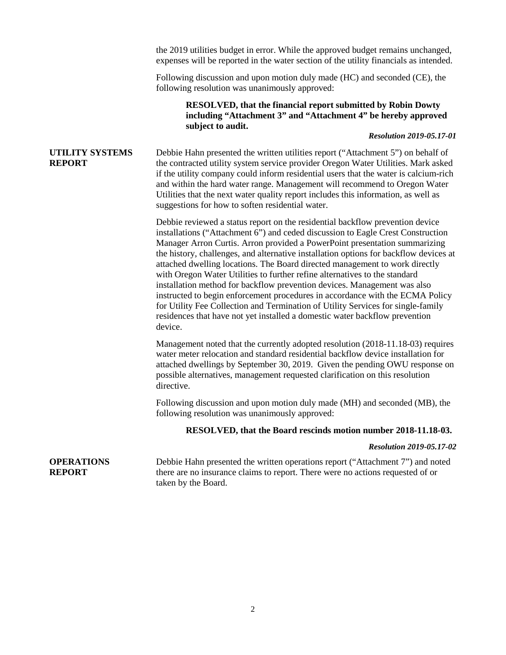the 2019 utilities budget in error. While the approved budget remains unchanged, expenses will be reported in the water section of the utility financials as intended.

Following discussion and upon motion duly made (HC) and seconded (CE), the following resolution was unanimously approved:

## **RESOLVED, that the financial report submitted by Robin Dowty including "Attachment 3" and "Attachment 4" be hereby approved subject to audit.**

## *Resolution 2019-05.17-01*

## **UTILITY SYSTEMS REPORT**

Debbie Hahn presented the written utilities report ("Attachment 5") on behalf of the contracted utility system service provider Oregon Water Utilities. Mark asked if the utility company could inform residential users that the water is calcium-rich and within the hard water range. Management will recommend to Oregon Water Utilities that the next water quality report includes this information, as well as suggestions for how to soften residential water.

Debbie reviewed a status report on the residential backflow prevention device installations ("Attachment 6") and ceded discussion to Eagle Crest Construction Manager Arron Curtis. Arron provided a PowerPoint presentation summarizing the history, challenges, and alternative installation options for backflow devices at attached dwelling locations. The Board directed management to work directly with Oregon Water Utilities to further refine alternatives to the standard installation method for backflow prevention devices. Management was also instructed to begin enforcement procedures in accordance with the ECMA Policy for Utility Fee Collection and Termination of Utility Services for single-family residences that have not yet installed a domestic water backflow prevention device.

Management noted that the currently adopted resolution (2018-11.18-03) requires water meter relocation and standard residential backflow device installation for attached dwellings by September 30, 2019. Given the pending OWU response on possible alternatives, management requested clarification on this resolution directive.

Following discussion and upon motion duly made (MH) and seconded (MB), the following resolution was unanimously approved:

### **RESOLVED, that the Board rescinds motion number 2018-11.18-03.**

#### *Resolution 2019-05.17-02*

#### **OPERATIONS REPORT** Debbie Hahn presented the written operations report ("Attachment 7") and noted there are no insurance claims to report. There were no actions requested of or taken by the Board.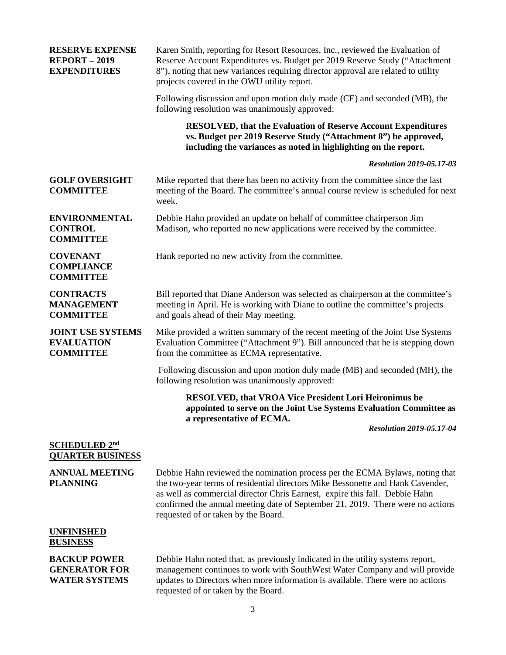| <b>RESERVE EXPENSE</b><br><b>REPORT - 2019</b><br><b>EXPENDITURES</b> | Karen Smith, reporting for Resort Resources, Inc., reviewed the Evaluation of<br>Reserve Account Expenditures vs. Budget per 2019 Reserve Study ("Attachment<br>8"), noting that new variances requiring director approval are related to utility<br>projects covered in the OWU utility report.                                                                       |
|-----------------------------------------------------------------------|------------------------------------------------------------------------------------------------------------------------------------------------------------------------------------------------------------------------------------------------------------------------------------------------------------------------------------------------------------------------|
|                                                                       | Following discussion and upon motion duly made (CE) and seconded (MB), the<br>following resolution was unanimously approved:                                                                                                                                                                                                                                           |
|                                                                       | <b>RESOLVED, that the Evaluation of Reserve Account Expenditures</b><br>vs. Budget per 2019 Reserve Study ("Attachment 8") be approved,<br>including the variances as noted in highlighting on the report.                                                                                                                                                             |
|                                                                       | <b>Resolution 2019-05.17-03</b>                                                                                                                                                                                                                                                                                                                                        |
| <b>GOLF OVERSIGHT</b><br><b>COMMITTEE</b>                             | Mike reported that there has been no activity from the committee since the last<br>meeting of the Board. The committee's annual course review is scheduled for next<br>week.                                                                                                                                                                                           |
| <b>ENVIRONMENTAL</b><br><b>CONTROL</b><br><b>COMMITTEE</b>            | Debbie Hahn provided an update on behalf of committee chairperson Jim<br>Madison, who reported no new applications were received by the committee.                                                                                                                                                                                                                     |
| <b>COVENANT</b><br><b>COMPLIANCE</b><br><b>COMMITTEE</b>              | Hank reported no new activity from the committee.                                                                                                                                                                                                                                                                                                                      |
| <b>CONTRACTS</b><br><b>MANAGEMENT</b><br><b>COMMITTEE</b>             | Bill reported that Diane Anderson was selected as chairperson at the committee's<br>meeting in April. He is working with Diane to outline the committee's projects<br>and goals ahead of their May meeting.                                                                                                                                                            |
| <b>JOINT USE SYSTEMS</b><br><b>EVALUATION</b><br><b>COMMITTEE</b>     | Mike provided a written summary of the recent meeting of the Joint Use Systems<br>Evaluation Committee ("Attachment 9"). Bill announced that he is stepping down<br>from the committee as ECMA representative.                                                                                                                                                         |
|                                                                       | Following discussion and upon motion duly made (MB) and seconded (MH), the<br>following resolution was unanimously approved:                                                                                                                                                                                                                                           |
|                                                                       | <b>RESOLVED, that VROA Vice President Lori Heironimus be</b><br>appointed to serve on the Joint Use Systems Evaluation Committee as<br>a representative of ECMA.                                                                                                                                                                                                       |
|                                                                       | <b>Resolution 2019-05.17-04</b>                                                                                                                                                                                                                                                                                                                                        |
| SCHEDULED 2nd<br><b>QUARTER BUSINESS</b>                              |                                                                                                                                                                                                                                                                                                                                                                        |
| <b>ANNUAL MEETING</b><br><b>PLANNING</b>                              | Debbie Hahn reviewed the nomination process per the ECMA Bylaws, noting that<br>the two-year terms of residential directors Mike Bessonette and Hank Cavender,<br>as well as commercial director Chris Earnest, expire this fall. Debbie Hahn<br>confirmed the annual meeting date of September 21, 2019. There were no actions<br>requested of or taken by the Board. |
| <b>UNFINISHED</b><br><b>BUSINESS</b>                                  |                                                                                                                                                                                                                                                                                                                                                                        |
| <b>BACKUP POWER</b><br><b>GENERATOR FOR</b>                           | Debbie Hahn noted that, as previously indicated in the utility systems report,<br>management continues to work with SouthWest Water Company and will provide                                                                                                                                                                                                           |

**GENERATOR FOR WATER SYSTEMS**

management continues to work with SouthWest Water Company and will provide updates to Directors when more information is available. There were no actions requested of or taken by the Board.